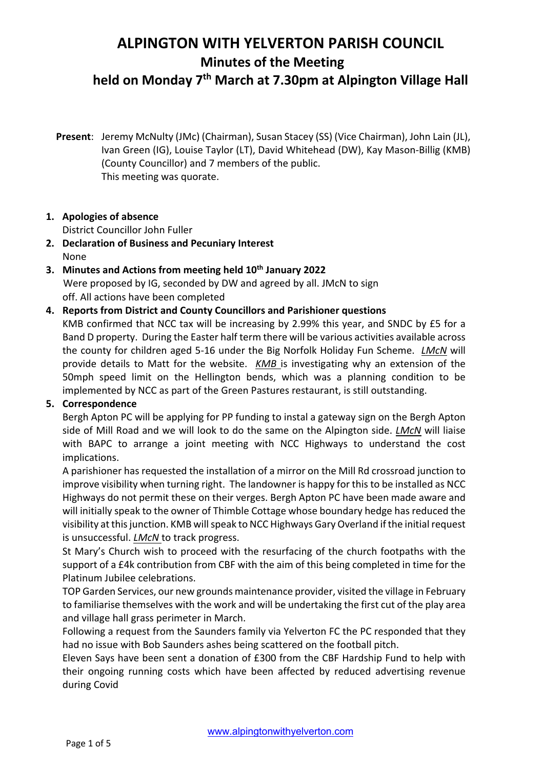**held on Monday 7th March at 7.30pm at Alpington Village Hall**

**Present**: Jeremy McNulty (JMc) (Chairman), Susan Stacey (SS) (Vice Chairman), John Lain (JL), Ivan Green (IG), Louise Taylor (LT), David Whitehead (DW), Kay Mason-Billig (KMB) (County Councillor) and 7 members of the public. This meeting was quorate.

# **1. Apologies of absence**

District Councillor John Fuller

- **2. Declaration of Business and Pecuniary Interest** None
- **3. Minutes and Actions from meeting held 10th January 2022** Were proposed by IG, seconded by DW and agreed by all. JMcN to sign off. All actions have been completed

# **4. Reports from District and County Councillors and Parishioner questions**

KMB confirmed that NCC tax will be increasing by 2.99% this year, and SNDC by £5 for a Band D property. During the Easter half term there will be various activities available across the county for children aged 5-16 under the Big Norfolk Holiday Fun Scheme. *LMcN* will provide details to Matt for the website. *KMB* is investigating why an extension of the 50mph speed limit on the Hellington bends, which was a planning condition to be implemented by NCC as part of the Green Pastures restaurant, is still outstanding.

# **5. Correspondence**

Bergh Apton PC will be applying for PP funding to instal a gateway sign on the Bergh Apton side of Mill Road and we will look to do the same on the Alpington side. *LMcN* will liaise with BAPC to arrange a joint meeting with NCC Highways to understand the cost implications.

A parishioner has requested the installation of a mirror on the Mill Rd crossroad junction to improve visibility when turning right. The landowner is happy for this to be installed as NCC Highways do not permit these on their verges. Bergh Apton PC have been made aware and will initially speak to the owner of Thimble Cottage whose boundary hedge has reduced the visibility at this junction. KMB will speak to NCC Highways Gary Overland if the initial request is unsuccessful. *LMcN* to track progress.

St Mary's Church wish to proceed with the resurfacing of the church footpaths with the support of a £4k contribution from CBF with the aim of this being completed in time for the Platinum Jubilee celebrations.

TOP Garden Services, our new grounds maintenance provider, visited the village in February to familiarise themselves with the work and will be undertaking the first cut of the play area and village hall grass perimeter in March.

Following a request from the Saunders family via Yelverton FC the PC responded that they had no issue with Bob Saunders ashes being scattered on the football pitch.

Eleven Says have been sent a donation of £300 from the CBF Hardship Fund to help with their ongoing running costs which have been affected by reduced advertising revenue during Covid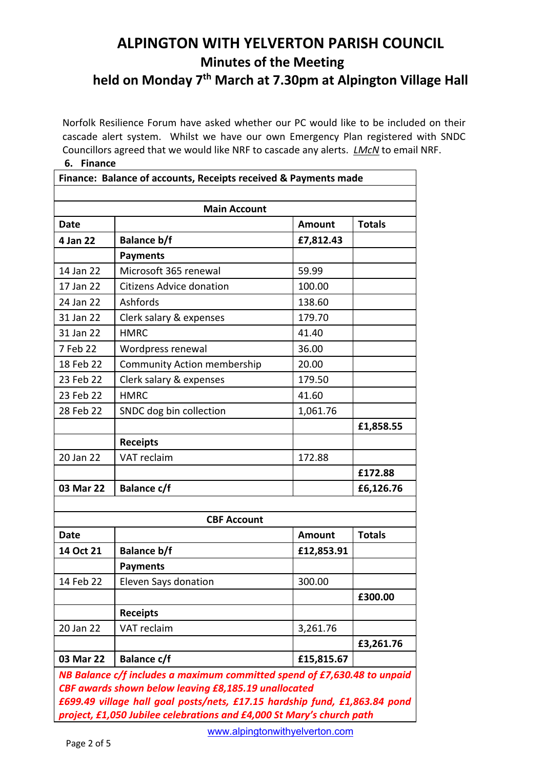**held on Monday 7th March at 7.30pm at Alpington Village Hall**

Norfolk Resilience Forum have asked whether our PC would like to be included on their cascade alert system. Whilst we have our own Emergency Plan registered with SNDC Councillors agreed that we would like NRF to cascade any alerts. *LMcN* to email NRF. **6. Finance**

| Finance: Balance of accounts, Receipts received & Payments made          |                                                                            |               |               |  |  |
|--------------------------------------------------------------------------|----------------------------------------------------------------------------|---------------|---------------|--|--|
|                                                                          | <b>Main Account</b>                                                        |               |               |  |  |
| <b>Date</b>                                                              |                                                                            | <b>Amount</b> | <b>Totals</b> |  |  |
| 4 Jan 22                                                                 | <b>Balance b/f</b>                                                         | £7,812.43     |               |  |  |
|                                                                          | <b>Payments</b>                                                            |               |               |  |  |
| 14 Jan 22                                                                | Microsoft 365 renewal                                                      | 59.99         |               |  |  |
| 17 Jan 22                                                                | <b>Citizens Advice donation</b>                                            | 100.00        |               |  |  |
| 24 Jan 22                                                                | Ashfords                                                                   | 138.60        |               |  |  |
| 31 Jan 22                                                                | Clerk salary & expenses                                                    | 179.70        |               |  |  |
| 31 Jan 22                                                                | <b>HMRC</b>                                                                | 41.40         |               |  |  |
| 7 Feb 22                                                                 | Wordpress renewal                                                          | 36.00         |               |  |  |
| 18 Feb 22                                                                | <b>Community Action membership</b>                                         | 20.00         |               |  |  |
| 23 Feb 22                                                                | Clerk salary & expenses                                                    | 179.50        |               |  |  |
| 23 Feb 22                                                                | <b>HMRC</b>                                                                | 41.60         |               |  |  |
| 28 Feb 22                                                                | SNDC dog bin collection                                                    | 1,061.76      |               |  |  |
|                                                                          |                                                                            |               | £1,858.55     |  |  |
|                                                                          | <b>Receipts</b>                                                            |               |               |  |  |
| 20 Jan 22                                                                | VAT reclaim                                                                | 172.88        |               |  |  |
|                                                                          |                                                                            |               | £172.88       |  |  |
| 03 Mar 22                                                                | <b>Balance c/f</b>                                                         |               | £6,126.76     |  |  |
|                                                                          |                                                                            |               |               |  |  |
|                                                                          | <b>CBF Account</b>                                                         |               |               |  |  |
| <b>Date</b>                                                              |                                                                            | <b>Amount</b> | <b>Totals</b> |  |  |
| 14 Oct 21                                                                | <b>Balance b/f</b>                                                         | £12,853.91    |               |  |  |
|                                                                          | <b>Payments</b>                                                            |               |               |  |  |
| 14 Feb 22                                                                | Eleven Says donation                                                       | 300.00        |               |  |  |
|                                                                          |                                                                            |               | £300.00       |  |  |
|                                                                          | <b>Receipts</b>                                                            |               |               |  |  |
| 20 Jan 22                                                                | VAT reclaim                                                                | 3,261.76      |               |  |  |
|                                                                          |                                                                            |               | £3,261.76     |  |  |
| 03 Mar 22                                                                | <b>Balance c/f</b>                                                         | £15,815.67    |               |  |  |
| NB Balance c/f includes a maximum committed spend of £7,630.48 to unpaid |                                                                            |               |               |  |  |
|                                                                          | CBF awards shown below leaving £8,185.19 unallocated                       |               |               |  |  |
|                                                                          | £699.49 village hall goal posts/nets, £17.15 hardship fund, £1,863.84 pond |               |               |  |  |
|                                                                          | project, £1,050 Jubilee celebrations and £4,000 St Mary's church path      |               |               |  |  |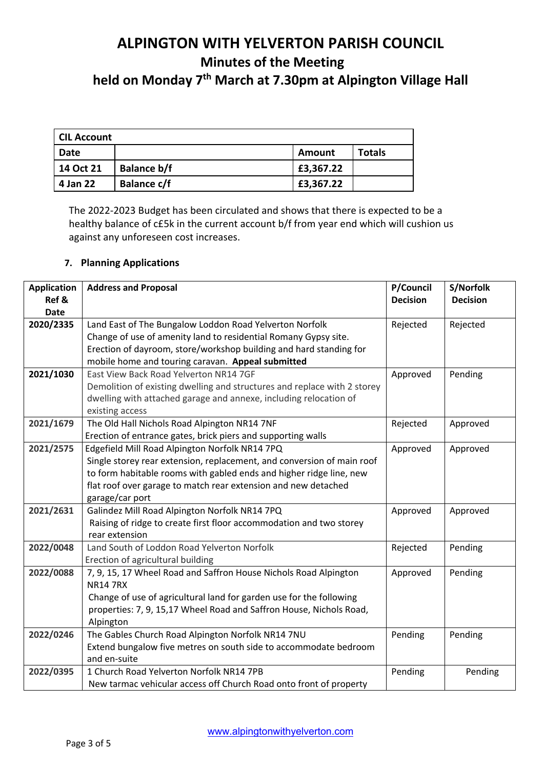**held on Monday 7th March at 7.30pm at Alpington Village Hall**

| CIL Account |                    |           |               |  |  |  |
|-------------|--------------------|-----------|---------------|--|--|--|
| Date        |                    | Amount    | <b>Totals</b> |  |  |  |
| 14 Oct 21   | <b>Balance b/f</b> | £3,367.22 |               |  |  |  |
| 4 Jan 22    | <b>Balance c/f</b> | £3,367.22 |               |  |  |  |

The 2022-2023 Budget has been circulated and shows that there is expected to be a healthy balance of c£5k in the current account b/f from year end which will cushion us against any unforeseen cost increases.

# **7. Planning Applications**

| <b>Application</b> | <b>Address and Proposal</b>                                              | P/Council       | S/Norfolk       |
|--------------------|--------------------------------------------------------------------------|-----------------|-----------------|
| Ref &              |                                                                          | <b>Decision</b> | <b>Decision</b> |
| Date               |                                                                          |                 |                 |
| 2020/2335          | Land East of The Bungalow Loddon Road Yelverton Norfolk                  | Rejected        | Rejected        |
|                    | Change of use of amenity land to residential Romany Gypsy site.          |                 |                 |
|                    | Erection of dayroom, store/workshop building and hard standing for       |                 |                 |
|                    | mobile home and touring caravan. Appeal submitted                        |                 |                 |
| 2021/1030          | East View Back Road Yelverton NR14 7GF                                   | Approved        | Pending         |
|                    | Demolition of existing dwelling and structures and replace with 2 storey |                 |                 |
|                    | dwelling with attached garage and annexe, including relocation of        |                 |                 |
|                    | existing access                                                          |                 |                 |
| 2021/1679          | The Old Hall Nichols Road Alpington NR14 7NF                             | Rejected        | Approved        |
|                    | Erection of entrance gates, brick piers and supporting walls             |                 |                 |
| 2021/2575          | Edgefield Mill Road Alpington Norfolk NR14 7PQ                           | Approved        | Approved        |
|                    | Single storey rear extension, replacement, and conversion of main roof   |                 |                 |
|                    | to form habitable rooms with gabled ends and higher ridge line, new      |                 |                 |
|                    | flat roof over garage to match rear extension and new detached           |                 |                 |
|                    | garage/car port                                                          |                 |                 |
| 2021/2631          | Galindez Mill Road Alpington Norfolk NR14 7PQ                            | Approved        | Approved        |
|                    | Raising of ridge to create first floor accommodation and two storey      |                 |                 |
|                    | rear extension                                                           |                 |                 |
| 2022/0048          | Land South of Loddon Road Yelverton Norfolk                              | Rejected        | Pending         |
|                    | Erection of agricultural building                                        |                 |                 |
| 2022/0088          | 7, 9, 15, 17 Wheel Road and Saffron House Nichols Road Alpington         | Approved        | Pending         |
|                    | <b>NR14 7RX</b>                                                          |                 |                 |
|                    | Change of use of agricultural land for garden use for the following      |                 |                 |
|                    | properties: 7, 9, 15,17 Wheel Road and Saffron House, Nichols Road,      |                 |                 |
|                    | Alpington                                                                |                 |                 |
| 2022/0246          | The Gables Church Road Alpington Norfolk NR14 7NU                        | Pending         | Pending         |
|                    | Extend bungalow five metres on south side to accommodate bedroom         |                 |                 |
|                    | and en-suite                                                             |                 |                 |
| 2022/0395          | 1 Church Road Yelverton Norfolk NR14 7PB                                 | Pending         | Pending         |
|                    | New tarmac vehicular access off Church Road onto front of property       |                 |                 |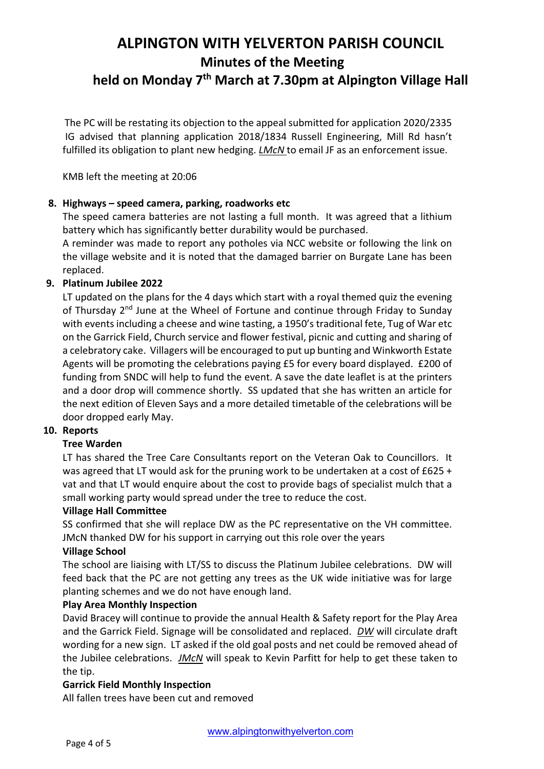# **ALPINGTON WITH YELVERTON PARISH COUNCIL Minutes of the Meeting held on Monday 7th March at 7.30pm at Alpington Village Hall**

The PC will be restating its objection to the appeal submitted for application 2020/2335 IG advised that planning application 2018/1834 Russell Engineering, Mill Rd hasn't fulfilled its obligation to plant new hedging. *LMcN* to email JF as an enforcement issue.

KMB left the meeting at 20:06

# **8. Highways – speed camera, parking, roadworks etc**

The speed camera batteries are not lasting a full month. It was agreed that a lithium battery which has significantly better durability would be purchased.

A reminder was made to report any potholes via NCC website or following the link on the village website and it is noted that the damaged barrier on Burgate Lane has been replaced.

# **9. Platinum Jubilee 2022**

LT updated on the plans for the 4 days which start with a royal themed quiz the evening of Thursday 2<sup>nd</sup> June at the Wheel of Fortune and continue through Friday to Sunday with events including a cheese and wine tasting, a 1950's traditional fete, Tug of War etc on the Garrick Field, Church service and flower festival, picnic and cutting and sharing of a celebratory cake. Villagers will be encouraged to put up bunting and Winkworth Estate Agents will be promoting the celebrations paying £5 for every board displayed. £200 of funding from SNDC will help to fund the event. A save the date leaflet is at the printers and a door drop will commence shortly. SS updated that she has written an article for the next edition of Eleven Says and a more detailed timetable of the celebrations will be door dropped early May.

# **10. Reports**

# **Tree Warden**

LT has shared the Tree Care Consultants report on the Veteran Oak to Councillors. It was agreed that LT would ask for the pruning work to be undertaken at a cost of £625 + vat and that LT would enquire about the cost to provide bags of specialist mulch that a small working party would spread under the tree to reduce the cost.

#### **Village Hall Committee**

SS confirmed that she will replace DW as the PC representative on the VH committee. JMcN thanked DW for his support in carrying out this role over the years

#### **Village School**

The school are liaising with LT/SS to discuss the Platinum Jubilee celebrations. DW will feed back that the PC are not getting any trees as the UK wide initiative was for large planting schemes and we do not have enough land.

#### **Play Area Monthly Inspection**

David Bracey will continue to provide the annual Health & Safety report for the Play Area and the Garrick Field. Signage will be consolidated and replaced. *DW* will circulate draft wording for a new sign. LT asked if the old goal posts and net could be removed ahead of the Jubilee celebrations. *JMcN* will speak to Kevin Parfitt for help to get these taken to the tip.

#### **Garrick Field Monthly Inspection**

All fallen trees have been cut and removed